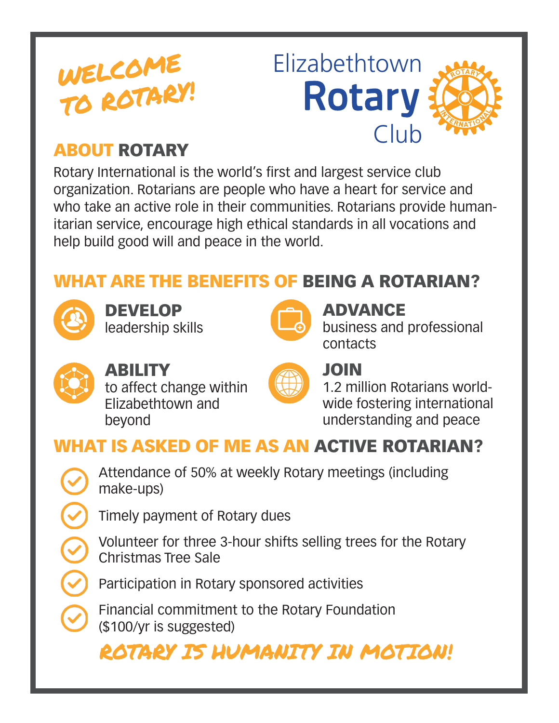# WELCOME TO ROTARY!



### ABOUT ROTARY

Rotary International is the world's first and largest service club organization. Rotarians are people who have a heart for service and who take an active role in their communities. Rotarians provide humanitarian service, encourage high ethical standards in all vocations and help build good will and peace in the world.

# WHAT ARE THE BENEFITS OF BEING A ROTARIAN?



DEVELOP leadership skills



#### ADVANCE

business and professional contacts



# ABILITY

to affect change within Elizabethtown and beyond



#### JOIN

1.2 million Rotarians worldwide fostering international understanding and peace

# WHAT IS ASKED OF ME AS AN ACTIVE ROTARIAN?

Attendance of 50% at weekly Rotary meetings (including make-ups)

Timely payment of Rotary dues

Volunteer for three 3-hour shifts selling trees for the Rotary Christmas Tree Sale

Participation in Rotary sponsored activities

Financial commitment to the Rotary Foundation (\$100/yr is suggested)

ROTARY IS HUMANITY IN MOTION!